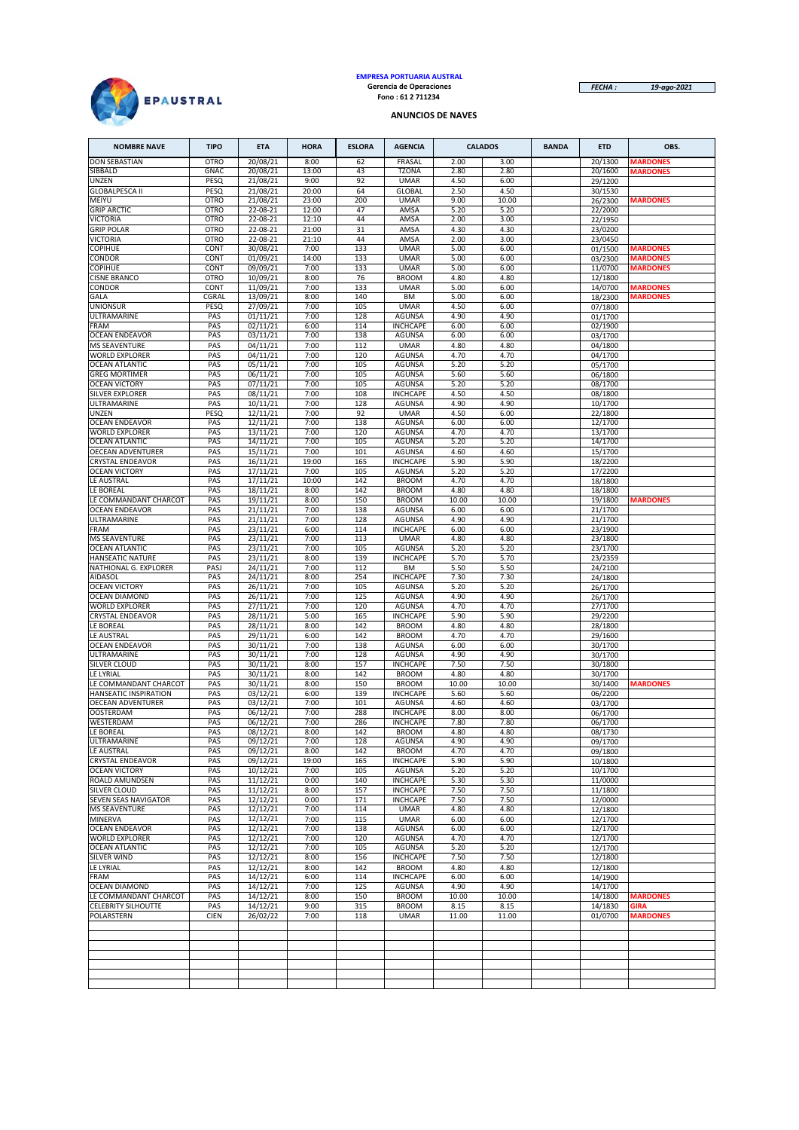

# **EMPRESA PORTUARIA AUSTRAL Gerencia de Operaciones Fono : 61 2 711234**

*FECHA : 19-ago-2021*

#### **ANUNCIOS DE NAVES**

| <b>NOMBRE NAVE</b>                               | <b>TIPO</b>  | <b>ETA</b>           | <b>HORA</b>   | <b>ESLORA</b> | <b>AGENCIA</b>                   |               | <b>CALADOS</b> | <b>BANDA</b> | <b>ETD</b>         | OBS.                               |
|--------------------------------------------------|--------------|----------------------|---------------|---------------|----------------------------------|---------------|----------------|--------------|--------------------|------------------------------------|
| <b>DON SEBASTIAN</b>                             | <b>OTRO</b>  | 20/08/21             | 8:00          | 62            | <b>FRASAL</b>                    | 2.00          | 3.00           |              | 20/1300            | <b>MARDONES</b>                    |
| SIBBALD                                          | GNAC         | 20/08/21             | 13:00         | 43            | <b>TZONA</b>                     | 2.80          | 2.80           |              | 20/1600            | <b>MARDONES</b>                    |
| <b>UNZEN</b><br><b>GLOBALPESCA II</b>            | PESQ<br>PESQ | 21/08/21<br>21/08/21 | 9:00<br>20:00 | 92<br>64      | <b>UMAR</b><br><b>GLOBAL</b>     | 4.50<br>2.50  | 6.00<br>4.50   |              | 29/1200<br>30/1530 |                                    |
| MEIYU                                            | <b>OTRO</b>  | 21/08/21             | 23:00         | 200           | <b>UMAR</b>                      | 9.00          | 10.00          |              | 26/2300            | <b>MARDONES</b>                    |
| <b>GRIP ARCTIC</b>                               | <b>OTRO</b>  | 22-08-21             | 12:00         | 47            | AMSA                             | 5.20          | 5.20           |              | 22/2000            |                                    |
| <b>VICTORIA</b>                                  | <b>OTRO</b>  | 22-08-21             | 12:10         | 44            | AMSA                             | 2.00          | 3.00           |              | 22/1950            |                                    |
| <b>GRIP POLAR</b>                                | <b>OTRO</b>  | 22-08-21             | 21:00         | 31            | AMSA                             | 4.30          | 4.30           |              | 23/0200            |                                    |
| <b>VICTORIA</b>                                  | <b>OTRO</b>  | 22-08-21             | 21:10         | 44            | AMSA                             | 2.00          | 3.00           |              | 23/0450            |                                    |
| COPIHUE<br>CONDOR                                | CONT<br>CONT | 30/08/21<br>01/09/21 | 7:00<br>14:00 | 133<br>133    | <b>UMAR</b><br><b>UMAR</b>       | 5.00<br>5.00  | 6.00<br>6.00   |              | 01/1500<br>03/2300 | <b>MARDONES</b><br><b>MARDONES</b> |
| <b>COPIHUE</b>                                   | CONT         | 09/09/21             | 7:00          | 133           | <b>UMAR</b>                      | 5.00          | 6.00           |              | 11/0700            | <b>MARDONES</b>                    |
| <b>CISNE BRANCO</b>                              | <b>OTRO</b>  | 10/09/21             | 8:00          | 76            | <b>BROOM</b>                     | 4.80          | 4.80           |              | 12/1800            |                                    |
| CONDOR                                           | CONT         | 11/09/21             | 7:00          | 133           | <b>UMAR</b>                      | 5.00          | 6.00           |              | 14/0700            | <b>MARDONES</b>                    |
| GALA                                             | CGRAL        | 13/09/21             | 8:00          | 140           | ВM                               | 5.00          | 6.00           |              | 18/2300            | <b>MARDONES</b>                    |
| <b>UNIONSUR</b><br>ULTRAMARINE                   | PESQ<br>PAS  | 27/09/21<br>01/11/21 | 7:00<br>7:00  | 105<br>128    | <b>UMAR</b><br><b>AGUNSA</b>     | 4.50<br>4.90  | 6.00<br>4.90   |              | 07/1800<br>01/1700 |                                    |
| FRAM                                             | PAS          | 02/11/21             | 6:00          | 114           | <b>INCHCAPE</b>                  | 6.00          | 6.00           |              | 02/1900            |                                    |
| <b>OCEAN ENDEAVOR</b>                            | PAS          | 03/11/21             | 7:00          | 138           | <b>AGUNSA</b>                    | 6.00          | 6.00           |              | 03/1700            |                                    |
| <b>MS SEAVENTURE</b>                             | PAS          | 04/11/21             | 7:00          | 112           | <b>UMAR</b>                      | 4.80          | 4.80           |              | 04/1800            |                                    |
| <b>WORLD EXPLORER</b>                            | PAS          | 04/11/21             | 7:00          | 120           | <b>AGUNSA</b>                    | 4.70          | 4.70           |              | 04/1700            |                                    |
| <b>OCEAN ATLANTIC</b>                            | PAS          | 05/11/21             | 7:00          | 105           | <b>AGUNSA</b>                    | 5.20          | 5.20           |              | 05/1700            |                                    |
| <b>GREG MORTIMER</b><br><b>OCEAN VICTORY</b>     | PAS<br>PAS   | 06/11/21<br>07/11/21 | 7:00<br>7:00  | 105<br>105    | AGUNSA<br><b>AGUNSA</b>          | 5.60<br>5.20  | 5.60<br>5.20   |              | 06/1800<br>08/1700 |                                    |
| SILVER EXPLORER                                  | PAS          | 08/11/21             | 7:00          | 108           | <b>INCHCAPE</b>                  | 4.50          | 4.50           |              | 08/1800            |                                    |
| ULTRAMARINE                                      | PAS          | 10/11/21             | 7:00          | 128           | <b>AGUNSA</b>                    | 4.90          | 4.90           |              | 10/1700            |                                    |
| <b>UNZEN</b>                                     | PESQ         | 12/11/21             | 7:00          | 92            | <b>UMAR</b>                      | 4.50          | 6.00           |              | 22/1800            |                                    |
| <b>OCEAN ENDEAVOR</b>                            | PAS          | 12/11/21             | 7:00          | 138           | AGUNSA                           | 6.00          | 6.00           |              | 12/1700            |                                    |
| <b>WORLD EXPLORER</b><br><b>OCEAN ATLANTIC</b>   | PAS<br>PAS   | 13/11/21<br>14/11/21 | 7:00<br>7:00  | 120<br>105    | <b>AGUNSA</b><br><b>AGUNSA</b>   | 4.70<br>5.20  | 4.70<br>5.20   |              | 13/1700<br>14/1700 |                                    |
| <b>OECEAN ADVENTURER</b>                         | PAS          | 15/11/21             | 7:00          | 101           | <b>AGUNSA</b>                    | 4.60          | 4.60           |              | 15/1700            |                                    |
| <b>CRYSTAL ENDEAVOR</b>                          | PAS          | 16/11/21             | 19:00         | 165           | <b>INCHCAPE</b>                  | 5.90          | 5.90           |              | 18/2200            |                                    |
| <b>OCEAN VICTORY</b>                             | PAS          | 17/11/21             | 7:00          | 105           | AGUNSA                           | 5.20          | 5.20           |              | 17/2200            |                                    |
| LE AUSTRAL                                       | PAS          | 17/11/21             | 10:00         | 142           | <b>BROOM</b>                     | 4.70          | 4.70           |              | 18/1800            |                                    |
| LE BOREAL                                        | PAS          | 18/11/21             | 8:00          | 142           | <b>BROOM</b>                     | 4.80          | 4.80           |              | 18/1800            |                                    |
| LE COMMANDANT CHARCOT<br><b>OCEAN ENDEAVOR</b>   | PAS<br>PAS   | 19/11/21<br>21/11/21 | 8:00<br>7:00  | 150<br>138    | <b>BROOM</b><br><b>AGUNSA</b>    | 10.00<br>6.00 | 10.00<br>6.00  |              | 19/1800<br>21/1700 | <b>MARDONES</b>                    |
| ULTRAMARINE                                      | PAS          | 21/11/21             | 7:00          | 128           | <b>AGUNSA</b>                    | 4.90          | 4.90           |              | 21/1700            |                                    |
| FRAM                                             | PAS          | 23/11/21             | 6:00          | 114           | <b>INCHCAPE</b>                  | 6.00          | 6.00           |              | 23/1900            |                                    |
| <b>MS SEAVENTURE</b>                             | PAS          | 23/11/21             | 7:00          | 113           | <b>UMAR</b>                      | 4.80          | 4.80           |              | 23/1800            |                                    |
| <b>OCEAN ATLANTIC</b>                            | PAS          | 23/11/21             | 7:00          | 105           | <b>AGUNSA</b>                    | 5.20          | 5.20           |              | 23/1700            |                                    |
| <b>HANSEATIC NATURE</b><br>NATHIONAL G. EXPLORER | PAS<br>PASJ  | 23/11/21             | 8:00          | 139           | <b>INCHCAPE</b>                  | 5.70          | 5.70<br>5.50   |              | 23/2359            |                                    |
| <b>AIDASOL</b>                                   | PAS          | 24/11/21<br>24/11/21 | 7:00<br>8:00  | 112<br>254    | <b>BM</b><br><b>INCHCAPE</b>     | 5.50<br>7.30  | 7.30           |              | 24/2100<br>24/1800 |                                    |
| <b>OCEAN VICTORY</b>                             | PAS          | 26/11/21             | 7:00          | 105           | <b>AGUNSA</b>                    | 5.20          | 5.20           |              | 26/1700            |                                    |
| <b>OCEAN DIAMOND</b>                             | PAS          | 26/11/21             | 7:00          | 125           | <b>AGUNSA</b>                    | 4.90          | 4.90           |              | 26/1700            |                                    |
| <b>WORLD EXPLORER</b>                            | PAS          | 27/11/21             | 7:00          | 120           | <b>AGUNSA</b>                    | 4.70          | 4.70           |              | 27/1700            |                                    |
| <b>CRYSTAL ENDEAVOR</b>                          | PAS          | 28/11/21             | 5:00          | 165           | <b>INCHCAPE</b>                  | 5.90          | 5.90           |              | 29/2200            |                                    |
| LE BOREAL<br>LE AUSTRAL                          | PAS<br>PAS   | 28/11/21<br>29/11/21 | 8:00<br>6:00  | 142<br>142    | <b>BROOM</b><br><b>BROOM</b>     | 4.80<br>4.70  | 4.80<br>4.70   |              | 28/1800<br>29/1600 |                                    |
| <b>OCEAN ENDEAVOR</b>                            | PAS          | 30/11/21             | 7:00          | 138           | <b>AGUNSA</b>                    | 6.00          | 6.00           |              | 30/1700            |                                    |
| ULTRAMARINE                                      | PAS          | 30/11/21             | 7:00          | 128           | <b>AGUNSA</b>                    | 4.90          | 4.90           |              | 30/1700            |                                    |
| SILVER CLOUD                                     | PAS          | 30/11/21             | 8:00          | 157           | <b>INCHCAPE</b>                  | 7.50          | 7.50           |              | 30/1800            |                                    |
| LE LYRIAL                                        | PAS          | 30/11/21             | 8:00          | 142           | <b>BROOM</b>                     | 4.80          | 4.80           |              | 30/1700            |                                    |
| LE COMMANDANT CHARCOT                            | PAS          | 30/11/21             | 8:00          | 150           | <b>BROOM</b>                     | 10.00         | 10.00          |              | 30/1400            | <b>MARDONES</b>                    |
| HANSEATIC INSPIRATION<br>OECEAN ADVENTURER       | PAS<br>PAS   | 03/12/21<br>03/12/21 | 6:00<br>7:00  | 139<br>101    | <b>INCHCAPE</b><br><b>AGUNSA</b> | 5.60<br>4.60  | 5.60<br>4.60   |              | 06/2200<br>03/1700 |                                    |
| <b>OOSTERDAM</b>                                 | PAS          | 06/12/21             | 7:00          | 288           | <b>INCHCAPE</b>                  | 8.00          | 8.00           |              | 06/1700            |                                    |
| WESTERDAM                                        | PAS          | 06/12/21             | 7:00          | 286           | <b>INCHCAPE</b>                  | 7.80          | 7.80           |              | 06/1700            |                                    |
| LE BOREAL                                        | PAS          | 08/12/21             | 8:00          | 142           | <b>BROOM</b>                     | 4.80          | 4.80           |              | 08/1730            |                                    |
| ULTRAMARINE                                      | PAS          | 09/12/21             | 7:00          | 128           | AGUNSA                           | 4.90          | 4.90           |              | 09/1/00            |                                    |
| LE AUSTRAL<br><b>CRYSTAL ENDEAVOR</b>            | PAS<br>PAS   | 09/12/21<br>09/12/21 | 8:00<br>19:00 | 142<br>165    | <b>BROOM</b><br><b>INCHCAPE</b>  | 4.70<br>5.90  | 4.70<br>5.90   |              | 09/1800            |                                    |
| <b>OCEAN VICTORY</b>                             | PAS          | 10/12/21             | 7:00          | 105           | AGUNSA                           | 5.20          | 5.20           |              | 10/1800<br>10/1700 |                                    |
| ROALD AMUNDSEN                                   | PAS          | 11/12/21             | 0:00          | 140           | <b>INCHCAPE</b>                  | 5.30          | 5.30           |              | 11/0000            |                                    |
| SILVER CLOUD                                     | PAS          | 11/12/21             | 8:00          | 157           | <b>INCHCAPE</b>                  | 7.50          | 7.50           |              | 11/1800            |                                    |
| SEVEN SEAS NAVIGATOR                             | PAS          | 12/12/21             | 0:00          | 171           | <b>INCHCAPE</b>                  | 7.50          | 7.50           |              | 12/0000            |                                    |
| <b>MS SEAVENTURE</b><br><b>MINERVA</b>           | PAS<br>PAS   | 12/12/21<br>12/12/21 | 7:00<br>7:00  | 114<br>115    | <b>UMAR</b><br><b>UMAR</b>       | 4.80<br>6.00  | 4.80<br>6.00   |              | 12/1800<br>12/1700 |                                    |
| <b>OCEAN ENDEAVOR</b>                            | PAS          | 12/12/21             | 7:00          | 138           | AGUNSA                           | 6.00          | 6.00           |              | 12/1700            |                                    |
| <b>WORLD EXPLORER</b>                            | PAS          | 12/12/21             | 7:00          | 120           | <b>AGUNSA</b>                    | 4.70          | 4.70           |              | 12/1700            |                                    |
| <b>OCEAN ATLANTIC</b>                            | PAS          | 12/12/21             | 7:00          | 105           | AGUNSA                           | 5.20          | 5.20           |              | 12/1700            |                                    |
| SILVER WIND                                      | PAS          | 12/12/21             | 8:00          | 156           | <b>INCHCAPE</b>                  | 7.50          | 7.50           |              | 12/1800            |                                    |
| LE LYRIAL                                        | PAS          | 12/12/21             | 8:00          | 142           | <b>BROOM</b>                     | 4.80          | 4.80           |              | 12/1800            |                                    |
| FRAM<br>OCEAN DIAMOND                            | PAS<br>PAS   | 14/12/21<br>14/12/21 | 6:00<br>7:00  | 114<br>125    | <b>INCHCAPE</b><br><b>AGUNSA</b> | 6.00<br>4.90  | 6.00<br>4.90   |              | 14/1900<br>14/1700 |                                    |
| LE COMMANDANT CHARCOT                            | PAS          | 14/12/21             | 8:00          | 150           | <b>BROOM</b>                     | 10.00         | 10.00          |              | 14/1800            | <b>MARDONES</b>                    |
| <b>CELEBRITY SILHOUTTE</b>                       | PAS          | 14/12/21             | 9:00          | 315           | <b>BROOM</b>                     | 8.15          | 8.15           |              | 14/1830            | <b>GIRA</b>                        |
| POLARSTERN                                       | <b>CIEN</b>  | 26/02/22             | 7:00          | 118           | <b>UMAR</b>                      | 11.00         | 11.00          |              | 01/0700            | <b>MARDONES</b>                    |
|                                                  |              |                      |               |               |                                  |               |                |              |                    |                                    |
|                                                  |              |                      |               |               |                                  |               |                |              |                    |                                    |
|                                                  |              |                      |               |               |                                  |               |                |              |                    |                                    |
|                                                  |              |                      |               |               |                                  |               |                |              |                    |                                    |
|                                                  |              |                      |               |               |                                  |               |                |              |                    |                                    |
|                                                  |              |                      |               |               |                                  |               |                |              |                    |                                    |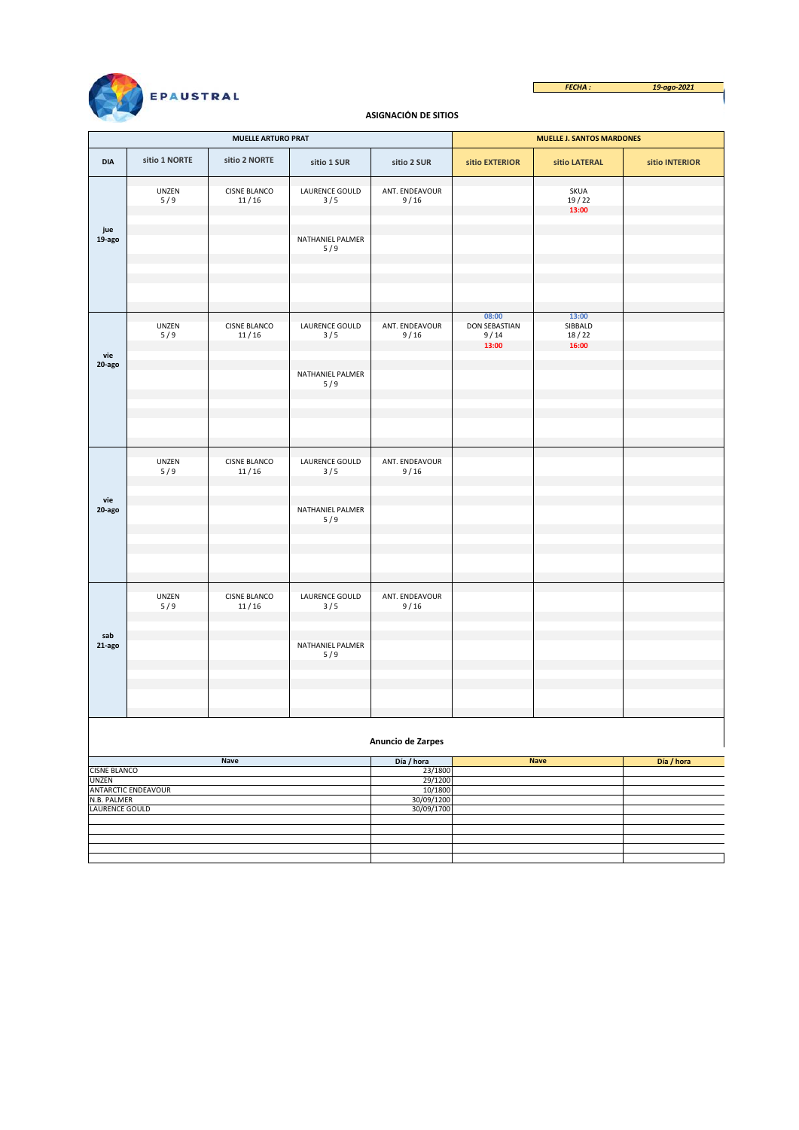



## **ASIGNACIÓN DE SITIOS**

|                              |                     | <b>MUELLE ARTURO PRAT</b>    |                         |                        | <b>MUELLE J. SANTOS MARDONES</b>      |                           |                |  |  |  |
|------------------------------|---------------------|------------------------------|-------------------------|------------------------|---------------------------------------|---------------------------|----------------|--|--|--|
| <b>DIA</b>                   | sitio 1 NORTE       | sitio 2 NORTE                | sitio 1 SUR             | sitio 2 SUR            | sitio EXTERIOR                        | sitio LATERAL             | sitio INTERIOR |  |  |  |
|                              | UNZEN<br>5/9        | <b>CISNE BLANCO</b><br>11/16 | LAURENCE GOULD<br>3/5   | ANT. ENDEAVOUR<br>9/16 |                                       | SKUA<br>19/22<br>13:00    |                |  |  |  |
| jue<br>19-ago                |                     |                              | NATHANIEL PALMER<br>5/9 |                        |                                       |                           |                |  |  |  |
|                              |                     |                              |                         |                        | 08:00                                 | 13:00                     |                |  |  |  |
| vie                          | UNZEN<br>5/9        | <b>CISNE BLANCO</b><br>11/16 | LAURENCE GOULD<br>3/5   | ANT. ENDEAVOUR<br>9/16 | <b>DON SEBASTIAN</b><br>9/14<br>13:00 | SIBBALD<br>18/22<br>16:00 |                |  |  |  |
| 20-ago                       |                     |                              | NATHANIEL PALMER<br>5/9 |                        |                                       |                           |                |  |  |  |
|                              |                     |                              |                         |                        |                                       |                           |                |  |  |  |
|                              | UNZEN<br>5/9        | <b>CISNE BLANCO</b><br>11/16 | LAURENCE GOULD<br>3/5   | ANT. ENDEAVOUR<br>9/16 |                                       |                           |                |  |  |  |
| vie<br>20-ago                |                     |                              | NATHANIEL PALMER<br>5/9 |                        |                                       |                           |                |  |  |  |
|                              |                     |                              |                         |                        |                                       |                           |                |  |  |  |
|                              | UNZEN<br>5/9        | <b>CISNE BLANCO</b><br>11/16 | LAURENCE GOULD<br>3/5   | ANT. ENDEAVOUR<br>9/16 |                                       |                           |                |  |  |  |
| sab<br>21-ago                |                     |                              | NATHANIEL PALMER<br>5/9 |                        |                                       |                           |                |  |  |  |
|                              |                     |                              |                         |                        |                                       |                           |                |  |  |  |
| Anuncio de Zarpes            |                     |                              |                         |                        |                                       |                           |                |  |  |  |
|                              |                     | <b>Nave</b>                  |                         | Día / hora             |                                       | <b>Nave</b>               | Día / hora     |  |  |  |
| <b>CISNE BLANCO</b><br>UNZEN |                     |                              |                         | 23/1800<br>29/1200     |                                       |                           |                |  |  |  |
|                              | ANTARCTIC ENDEAVOUR |                              |                         | 10/1800                |                                       |                           |                |  |  |  |
| N.B. PALMER                  |                     |                              |                         | 30/09/1200             |                                       |                           |                |  |  |  |
| LAURENCE GOULD               |                     |                              |                         | 30/09/1700             |                                       |                           |                |  |  |  |
|                              |                     |                              |                         |                        |                                       |                           |                |  |  |  |
|                              |                     |                              |                         |                        |                                       |                           |                |  |  |  |
|                              |                     |                              |                         |                        |                                       |                           |                |  |  |  |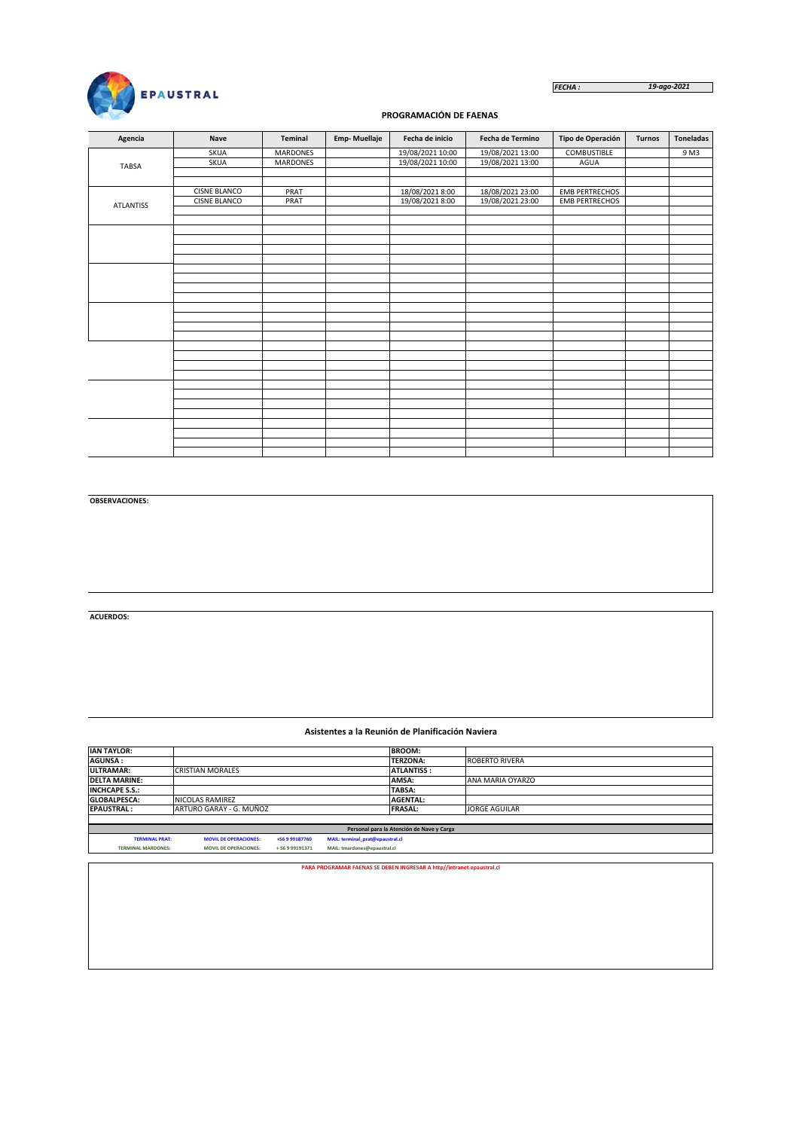

*FECHA : 19-ago-2021*

## **PROGRAMACIÓN DE FAENAS**

| Agencia          | <b>Nave</b>         | Teminal         | <b>Emp-Muellaje</b> | Fecha de inicio  | Fecha de Termino | Tipo de Operación     | <b>Turnos</b> | <b>Toneladas</b> |
|------------------|---------------------|-----------------|---------------------|------------------|------------------|-----------------------|---------------|------------------|
|                  | <b>SKUA</b>         | MARDONES        |                     | 19/08/2021 10:00 | 19/08/2021 13:00 | <b>COMBUSTIBLE</b>    |               | 9 M3             |
| <b>TABSA</b>     | <b>SKUA</b>         | <b>MARDONES</b> |                     | 19/08/2021 10:00 | 19/08/2021 13:00 | AGUA                  |               |                  |
|                  |                     |                 |                     |                  |                  |                       |               |                  |
|                  |                     |                 |                     |                  |                  |                       |               |                  |
|                  | <b>CISNE BLANCO</b> | PRAT            |                     | 18/08/2021 8:00  | 18/08/2021 23:00 | <b>EMB PERTRECHOS</b> |               |                  |
| <b>ATLANTISS</b> | <b>CISNE BLANCO</b> | PRAT            |                     | 19/08/2021 8:00  | 19/08/2021 23:00 | <b>EMB PERTRECHOS</b> |               |                  |
|                  |                     |                 |                     |                  |                  |                       |               |                  |
|                  |                     |                 |                     |                  |                  |                       |               |                  |
|                  |                     |                 |                     |                  |                  |                       |               |                  |
|                  |                     |                 |                     |                  |                  |                       |               |                  |
|                  |                     |                 |                     |                  |                  |                       |               |                  |
|                  |                     |                 |                     |                  |                  |                       |               |                  |
|                  |                     |                 |                     |                  |                  |                       |               |                  |
|                  |                     |                 |                     |                  |                  |                       |               |                  |
|                  |                     |                 |                     |                  |                  |                       |               |                  |
|                  |                     |                 |                     |                  |                  |                       |               |                  |
|                  |                     |                 |                     |                  |                  |                       |               |                  |
|                  |                     |                 |                     |                  |                  |                       |               |                  |
|                  |                     |                 |                     |                  |                  |                       |               |                  |
|                  |                     |                 |                     |                  |                  |                       |               |                  |
|                  |                     |                 |                     |                  |                  |                       |               |                  |
|                  |                     |                 |                     |                  |                  |                       |               |                  |
|                  |                     |                 |                     |                  |                  |                       |               |                  |
|                  |                     |                 |                     |                  |                  |                       |               |                  |
|                  |                     |                 |                     |                  |                  |                       |               |                  |
|                  |                     |                 |                     |                  |                  |                       |               |                  |
|                  |                     |                 |                     |                  |                  |                       |               |                  |
|                  |                     |                 |                     |                  |                  |                       |               |                  |
|                  |                     |                 |                     |                  |                  |                       |               |                  |
|                  |                     |                 |                     |                  |                  |                       |               |                  |
|                  |                     |                 |                     |                  |                  |                       |               |                  |
|                  |                     |                 |                     |                  |                  |                       |               |                  |

**OBSERVACIONES:**

**ACUERDOS:**

#### **Asistentes a la Reunión de Planificación Naviera**

| <b>IAN TAYLOR:</b>        |                              |                |                                  | <b>BROOM:</b>                                                         |                       |
|---------------------------|------------------------------|----------------|----------------------------------|-----------------------------------------------------------------------|-----------------------|
| <b>AGUNSA:</b>            |                              |                |                                  | <b>TERZONA:</b>                                                       | <b>ROBERTO RIVERA</b> |
| <b>ULTRAMAR:</b>          | <b>CRISTIAN MORALES</b>      |                |                                  | <b>ATLANTISS:</b>                                                     |                       |
| <b>DELTA MARINE:</b>      |                              |                |                                  | AMSA:                                                                 | ANA MARIA OYARZO      |
| <b>INCHCAPE S.S.:</b>     |                              |                |                                  | TABSA:                                                                |                       |
| <b>GLOBALPESCA:</b>       | NICOLAS RAMIREZ              |                |                                  | <b>AGENTAL:</b>                                                       |                       |
| <b>EPAUSTRAL:</b>         | ARTURO GARAY - G. MUÑOZ      |                |                                  | <b>FRASAL:</b>                                                        | <b>JORGE AGUILAR</b>  |
|                           |                              |                |                                  |                                                                       |                       |
|                           |                              |                |                                  | Personal para la Atención de Nave y Carga                             |                       |
| <b>TERMINAL PRAT:</b>     | <b>MOVIL DE OPERACIONES:</b> | +56 9 99187760 | MAIL: terminal_prat@epaustral.cl |                                                                       |                       |
| <b>TERMINAL MARDONES:</b> | <b>MOVIL DE OPERACIONES:</b> | +56999191371   | MAIL: tmardones@epaustral.cl     |                                                                       |                       |
|                           |                              |                |                                  |                                                                       |                       |
|                           |                              |                |                                  | PARA PROGRAMAR FAENAS SE DEBEN INGRESAR A http//intranet.epaustral.cl |                       |
|                           |                              |                |                                  |                                                                       |                       |
|                           |                              |                |                                  |                                                                       |                       |
|                           |                              |                |                                  |                                                                       |                       |
|                           |                              |                |                                  |                                                                       |                       |
|                           |                              |                |                                  |                                                                       |                       |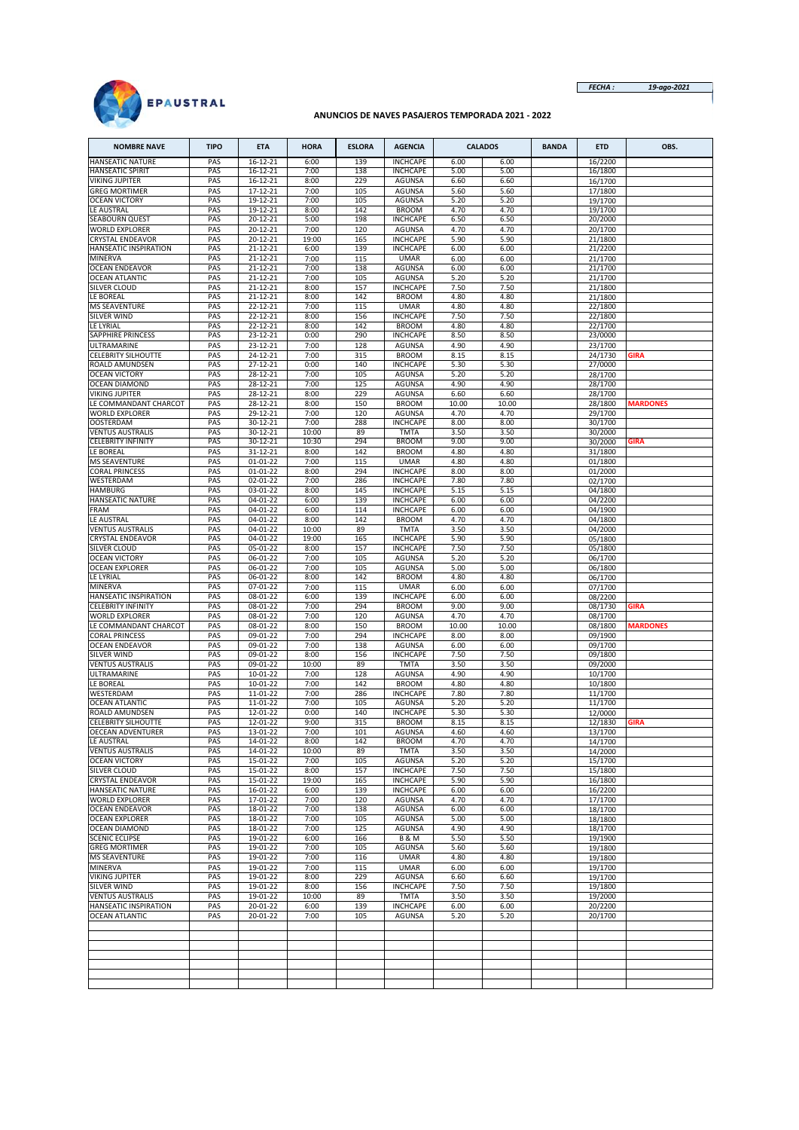

*FECHA : 19-ago-2021*

## **ANUNCIOS DE NAVES PASAJEROS TEMPORADA 2021 - 2022**

| <b>NOMBRE NAVE</b>                             | <b>TIPO</b> | <b>ETA</b>                 | <b>HORA</b>   | <b>ESLORA</b> | <b>AGENCIA</b>                     |               | <b>CALADOS</b> | <b>BANDA</b> | <b>ETD</b>         | OBS.            |
|------------------------------------------------|-------------|----------------------------|---------------|---------------|------------------------------------|---------------|----------------|--------------|--------------------|-----------------|
| <b>HANSEATIC NATURE</b>                        | PAS         | 16-12-21                   | 6:00          | 139           | <b>INCHCAPE</b>                    | 6.00          | 6.00           |              | 16/2200            |                 |
| HANSEATIC SPIRIT<br>VIKING JUPITER             | PAS<br>PAS  | 16-12-21<br>16-12-21       | 7:00<br>8:00  | 138<br>229    | <b>INCHCAPE</b><br><b>AGUNSA</b>   | 5.00<br>6.60  | 5.00<br>6.60   |              | 16/1800<br>16/1700 |                 |
| <b>GREG MORTIMER</b>                           | PAS         | 17-12-21                   | 7:00          | 105           | <b>AGUNSA</b>                      | 5.60          | 5.60           |              | 17/1800            |                 |
| <b>OCEAN VICTORY</b>                           | PAS         | 19-12-21                   | 7:00          | 105           | <b>AGUNSA</b>                      | 5.20          | 5.20           |              | 19/1700            |                 |
| LE AUSTRAL                                     | PAS         | 19-12-21                   | 8:00          | 142           | <b>BROOM</b>                       | 4.70          | 4.70           |              | 19/1700            |                 |
| SEABOURN QUEST<br><b>WORLD EXPLORER</b>        | PAS<br>PAS  | 20-12-21<br>20-12-21       | 5:00<br>7:00  | 198<br>120    | <b>INCHCAPE</b><br><b>AGUNSA</b>   | 6.50<br>4.70  | 6.50<br>4.70   |              | 20/2000<br>20/1700 |                 |
| CRYSTAL ENDEAVOR                               | PAS         | 20-12-21                   | 19:00         | 165           | <b>INCHCAPE</b>                    | 5.90          | 5.90           |              | 21/1800            |                 |
| HANSEATIC INSPIRATION                          | PAS         | 21-12-21                   | 6:00          | 139           | <b>INCHCAPE</b>                    | 6.00          | 6.00           |              | 21/2200            |                 |
| <b>MINERVA</b>                                 | PAS         | 21-12-21                   | 7:00          | 115           | <b>UMAR</b>                        | 6.00          | 6.00           |              | 21/1700            |                 |
| <b>OCEAN ENDEAVOR</b><br><b>OCEAN ATLANTIC</b> | PAS<br>PAS  | 21-12-21<br>21-12-21       | 7:00<br>7:00  | 138<br>105    | AGUNSA<br><b>AGUNSA</b>            | 6.00<br>5.20  | 6.00<br>5.20   |              | 21/1700<br>21/1700 |                 |
| SILVER CLOUD                                   | PAS         | 21-12-21                   | 8:00          | 157           | <b>INCHCAPE</b>                    | 7.50          | 7.50           |              | 21/1800            |                 |
| LE BOREAL                                      | PAS         | 21-12-21                   | 8:00          | 142           | <b>BROOM</b>                       | 4.80          | 4.80           |              | 21/1800            |                 |
| <b>MS SEAVENTURE</b>                           | PAS         | 22-12-21                   | 7:00          | 115           | <b>UMAR</b>                        | 4.80          | 4.80           |              | 22/1800            |                 |
| SILVER WIND                                    | PAS         | 22-12-21                   | 8:00          | 156           | <b>INCHCAPE</b>                    | 7.50          | 7.50           |              | 22/1800            |                 |
| LE LYRIAL<br>SAPPHIRE PRINCESS                 | PAS<br>PAS  | 22-12-21<br>23-12-21       | 8:00<br>0:00  | 142<br>290    | <b>BROOM</b><br><b>INCHCAPE</b>    | 4.80<br>8.50  | 4.80<br>8.50   |              | 22/1700<br>23/0000 |                 |
| ULTRAMARINE                                    | PAS         | 23-12-21                   | 7:00          | 128           | <b>AGUNSA</b>                      | 4.90          | 4.90           |              | 23/1700            |                 |
| <b>CELEBRITY SILHOUTTE</b>                     | PAS         | 24-12-21                   | 7:00          | 315           | <b>BROOM</b>                       | 8.15          | 8.15           |              | 24/1730            | <b>GIRA</b>     |
| ROALD AMUNDSEN                                 | PAS         | 27-12-21                   | 0:00          | 140           | <b>INCHCAPE</b>                    | 5.30          | 5.30           |              | 27/0000            |                 |
| <b>OCEAN VICTORY</b><br><b>OCEAN DIAMOND</b>   | PAS<br>PAS  | 28-12-21<br>28-12-21       | 7:00<br>7:00  | 105<br>125    | <b>AGUNSA</b><br><b>AGUNSA</b>     | 5.20<br>4.90  | 5.20<br>4.90   |              | 28/1700<br>28/1700 |                 |
| VIKING JUPITER                                 | PAS         | 28-12-21                   | 8:00          | 229           | <b>AGUNSA</b>                      | 6.60          | 6.60           |              | 28/1700            |                 |
| LE COMMANDANT CHARCOT                          | PAS         | 28-12-21                   | 8:00          | 150           | <b>BROOM</b>                       | 10.00         | 10.00          |              | 28/1800            | <b>MARDONES</b> |
| <b>WORLD EXPLORER</b>                          | PAS         | 29-12-21                   | 7:00          | 120           | AGUNSA                             | 4.70          | 4.70           |              | 29/1700            |                 |
| <b>OOSTERDAM</b><br><b>VENTUS AUSTRALIS</b>    | PAS<br>PAS  | 30-12-21<br>30-12-21       | 7:00<br>10:00 | 288<br>89     | <b>INCHCAPE</b><br><b>TMTA</b>     | 8.00<br>3.50  | 8.00<br>3.50   |              | 30/1700<br>30/2000 |                 |
| <b>CELEBRITY INFINITY</b>                      | PAS         | 30-12-21                   | 10:30         | 294           | <b>BROOM</b>                       | 9.00          | 9.00           |              | 30/2000            | <b>GIRA</b>     |
| LE BOREAL                                      | PAS         | 31-12-21                   | 8:00          | 142           | <b>BROOM</b>                       | 4.80          | 4.80           |              | 31/1800            |                 |
| <b>MS SEAVENTURE</b>                           | PAS         | 01-01-22                   | 7:00          | 115           | <b>UMAR</b>                        | 4.80          | 4.80           |              | 01/1800            |                 |
| CORAL PRINCESS<br>WESTERDAM                    | PAS<br>PAS  | $01 - 01 - 22$<br>02-01-22 | 8:00<br>7:00  | 294<br>286    | <b>INCHCAPE</b><br><b>INCHCAPE</b> | 8.00<br>7.80  | 8.00<br>7.80   |              | 01/2000<br>02/1700 |                 |
| HAMBURG                                        | PAS         | 03-01-22                   | 8:00          | 145           | <b>INCHCAPE</b>                    | 5.15          | 5.15           |              | 04/1800            |                 |
| HANSEATIC NATURE                               | PAS         | 04-01-22                   | 6:00          | 139           | <b>INCHCAPE</b>                    | 6.00          | 6.00           |              | 04/2200            |                 |
| FRAM                                           | PAS         | 04-01-22                   | 6:00          | 114           | <b>INCHCAPE</b>                    | 6.00          | 6.00           |              | 04/1900            |                 |
| LE AUSTRAL<br><b>VENTUS AUSTRALIS</b>          | PAS<br>PAS  | 04-01-22<br>04-01-22       | 8:00<br>10:00 | 142<br>89     | <b>BROOM</b><br><b>TMTA</b>        | 4.70<br>3.50  | 4.70<br>3.50   |              | 04/1800            |                 |
| CRYSTAL ENDEAVOR                               | PAS         | 04-01-22                   | 19:00         | 165           | <b>INCHCAPE</b>                    | 5.90          | 5.90           |              | 04/2000<br>05/1800 |                 |
| SILVER CLOUD                                   | PAS         | 05-01-22                   | 8:00          | 157           | <b>INCHCAPE</b>                    | 7.50          | 7.50           |              | 05/1800            |                 |
| <b>OCEAN VICTORY</b>                           | PAS         | 06-01-22                   | 7:00          | 105           | AGUNSA                             | 5.20          | 5.20           |              | 06/1700            |                 |
| <b>OCEAN EXPLORER</b><br>LE LYRIAL             | PAS<br>PAS  | 06-01-22<br>06-01-22       | 7:00<br>8:00  | 105<br>142    | <b>AGUNSA</b><br><b>BROOM</b>      | 5.00<br>4.80  | 5.00<br>4.80   |              | 06/1800            |                 |
| MINERVA                                        | PAS         | 07-01-22                   | 7:00          | 115           | <b>UMAR</b>                        | 6.00          | 6.00           |              | 06/1700<br>07/1700 |                 |
| HANSEATIC INSPIRATION                          | PAS         | 08-01-22                   | 6:00          | 139           | <b>INCHCAPE</b>                    | 6.00          | 6.00           |              | 08/2200            |                 |
| <b>CELEBRITY INFINITY</b>                      | PAS         | 08-01-22                   | 7:00          | 294           | <b>BROOM</b>                       | 9.00          | 9.00           |              | 08/1730            | <b>GIRA</b>     |
| WORLD EXPLORER<br>LE COMMANDANT CHARCOT        | PAS<br>PAS  | $08 - 01 - 22$<br>08-01-22 | 7:00<br>8:00  | 120<br>150    | <b>AGUNSA</b><br><b>BROOM</b>      | 4.70<br>10.00 | 4.70<br>10.00  |              | 08/1700            | <b>MARDONES</b> |
| CORAL PRINCESS                                 | PAS         | 09-01-22                   | 7:00          | 294           | <b>INCHCAPE</b>                    | 8.00          | 8.00           |              | 08/1800<br>09/1900 |                 |
| <b>OCEAN ENDEAVOR</b>                          | PAS         | 09-01-22                   | 7:00          | 138           | AGUNSA                             | 6.00          | 6.00           |              | 09/1700            |                 |
| SILVER WIND                                    | PAS         | 09-01-22                   | 8:00          | 156           | <b>INCHCAPE</b>                    | 7.50          | 7.50           |              | 09/1800            |                 |
| <b>VENTUS AUSTRALIS</b><br>ULTRAMARINE         | PAS<br>PAS  | 09-01-22<br>10-01-22       | 10:00<br>7:00 | 89<br>128     | <b>TMTA</b><br><b>AGUNSA</b>       | 3.50<br>4.90  | 3.50<br>4.90   |              | 09/2000            |                 |
| LE BOREAL                                      | PAS         | 10-01-22                   | 7:00          | 142           | <b>BROOM</b>                       | 4.80          | 4.80           |              | 10/1700<br>10/1800 |                 |
| WESTERDAM                                      | PAS         | 11-01-22                   | 7:00          | 286           | <b>INCHCAPE</b>                    | 7.80          | 7.80           |              | 11/1700            |                 |
| <b>OCEAN ATLANTIC</b>                          | PAS         | 11-01-22                   | 7:00          | 105           | AGUNSA                             | 5.20          | 5.20           |              | 11/1700            |                 |
| ROALD AMUNDSEN<br>CELEBRITY SILHOUTTE          | PAS<br>PAS  | 12-01-22<br>12-01-22       | 0:00<br>9:00  | 140<br>315    | <b>INCHCAPE</b><br><b>BROOM</b>    | 5.30<br>8.15  | 5.30<br>8.15   |              | 12/0000            | <b>GIRA</b>     |
| <b>OECEAN ADVENTURER</b>                       | PAS         | 13-01-22                   | 7:00          | 101           | <b>AGUNSA</b>                      | 4.60          | 4.60           |              | 12/1830<br>13/1700 |                 |
| LE AUSTRAL                                     | PAS         | 14-01-22                   | 8:00          | 142           | <b>BROOM</b>                       | 4.70          | 4.70           |              | 14/1700            |                 |
| <b>VENTUS AUSTRALIS</b>                        | PAS         | 14-01-22                   | 10:00         | 89            | <b>TMTA</b>                        | 3.50          | 3.50           |              | 14/2000            |                 |
| <b>OCEAN VICTORY</b><br>SILVER CLOUD           | PAS<br>PAS  | 15-01-22<br>15-01-22       | 7:00          | 105<br>157    | AGUNSA<br><b>INCHCAPE</b>          | 5.20          | 5.20<br>7.50   |              | 15/1700<br>15/1800 |                 |
| <b>CRYSTAL ENDEAVOR</b>                        | PAS         | 15-01-22                   | 8:00<br>19:00 | 165           | <b>INCHCAPE</b>                    | 7.50<br>5.90  | 5.90           |              | 16/1800            |                 |
| HANSEATIC NATURE                               | PAS         | 16-01-22                   | 6:00          | 139           | <b>INCHCAPE</b>                    | 6.00          | 6.00           |              | 16/2200            |                 |
| <b>WORLD EXPLORER</b>                          | PAS         | 17-01-22                   | 7:00          | 120           | AGUNSA                             | 4.70          | 4.70           |              | 17/1700            |                 |
| OCEAN ENDEAVOR<br><b>OCEAN EXPLORER</b>        | PAS<br>PAS  | 18-01-22<br>18-01-22       | 7:00<br>7:00  | 138<br>105    | AGUNSA<br>AGUNSA                   | 6.00<br>5.00  | 6.00<br>5.00   |              | 18/1700            |                 |
| <b>OCEAN DIAMOND</b>                           | PAS         | 18-01-22                   | 7:00          | 125           | AGUNSA                             | 4.90          | 4.90           |              | 18/1800<br>18/1700 |                 |
| <b>SCENIC ECLIPSE</b>                          | PAS         | 19-01-22                   | 6:00          | 166           | <b>B&amp;M</b>                     | 5.50          | 5.50           |              | 19/1900            |                 |
| <b>GREG MORTIMER</b>                           | PAS         | 19-01-22                   | 7:00          | 105           | <b>AGUNSA</b>                      | 5.60          | 5.60           |              | 19/1800            |                 |
| <b>MS SEAVENTURE</b><br><b>MINERVA</b>         | PAS         | 19-01-22                   | 7:00          | 116           | <b>UMAR</b>                        | 4.80          | 4.80           |              | 19/1800            |                 |
| <b>VIKING JUPITER</b>                          | PAS<br>PAS  | 19-01-22<br>19-01-22       | 7:00<br>8:00  | 115<br>229    | <b>UMAR</b><br><b>AGUNSA</b>       | 6.00<br>6.60  | 6.00<br>6.60   |              | 19/1700<br>19/1700 |                 |
| SILVER WIND                                    | PAS         | 19-01-22                   | 8:00          | 156           | <b>INCHCAPE</b>                    | 7.50          | 7.50           |              | 19/1800            |                 |
| <b>VENTUS AUSTRALIS</b>                        | PAS         | 19-01-22                   | 10:00         | 89            | <b>TMTA</b>                        | 3.50          | 3.50           |              | 19/2000            |                 |
| HANSEATIC INSPIRATION                          | PAS         | 20-01-22                   | 6:00          | 139           | <b>INCHCAPE</b>                    | 6.00          | 6.00           |              | 20/2200            |                 |
| <b>OCEAN ATLANTIC</b>                          | PAS         | 20-01-22                   | 7:00          | 105           | AGUNSA                             | 5.20          | 5.20           |              | 20/1700            |                 |
|                                                |             |                            |               |               |                                    |               |                |              |                    |                 |
|                                                |             |                            |               |               |                                    |               |                |              |                    |                 |
|                                                |             |                            |               |               |                                    |               |                |              |                    |                 |
|                                                |             |                            |               |               |                                    |               |                |              |                    |                 |
|                                                |             |                            |               |               |                                    |               |                |              |                    |                 |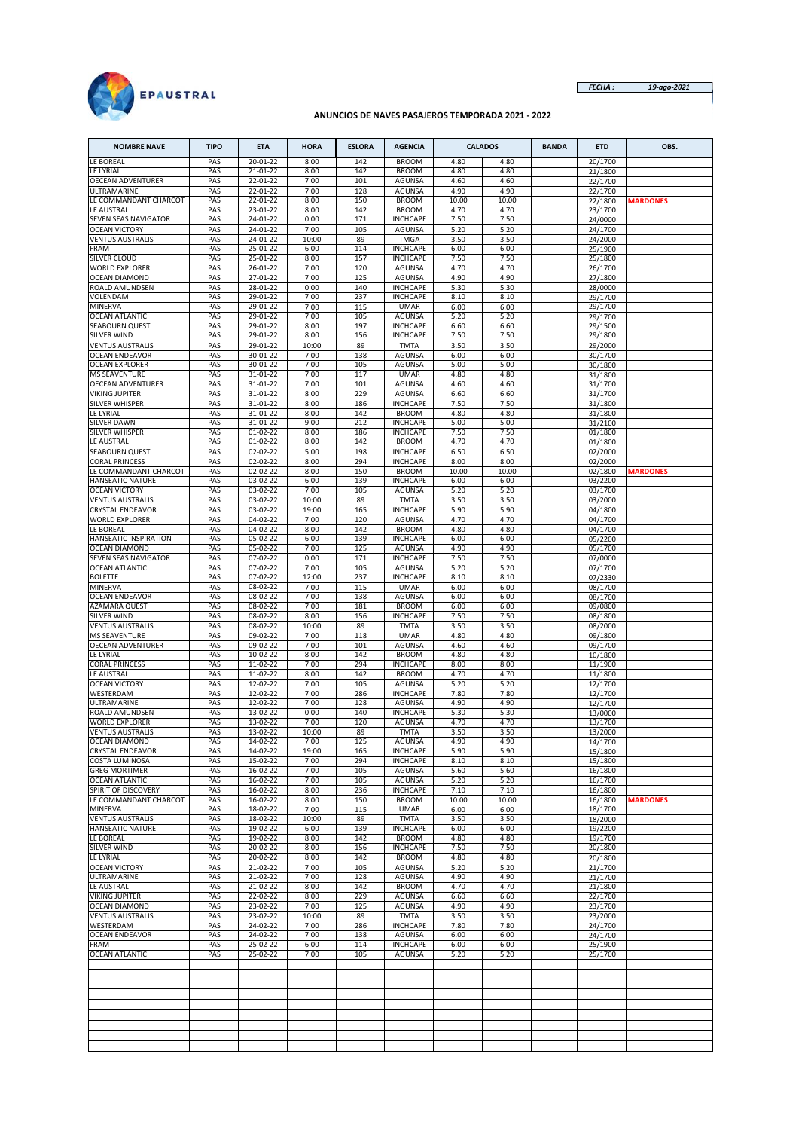

*FECHA : 19-ago-2021*

## **ANUNCIOS DE NAVES PASAJEROS TEMPORADA 2021 - 2022**

| <b>NOMBRE NAVE</b>                                 | <b>TIPO</b> | <b>ETA</b>           | <b>HORA</b>   | <b>ESLORA</b> | <b>AGENCIA</b>                   |               | <b>CALADOS</b> | <b>BANDA</b> | <b>ETD</b>         | OBS.            |
|----------------------------------------------------|-------------|----------------------|---------------|---------------|----------------------------------|---------------|----------------|--------------|--------------------|-----------------|
| LE BOREAL                                          | PAS         | 20-01-22             | 8:00          | 142           | <b>BROOM</b>                     | 4.80          | 4.80           |              | 20/1700            |                 |
| LE LYRIAL                                          | PAS         | 21-01-22             | 8:00          | 142           | <b>BROOM</b>                     | 4.80          | 4.80           |              | 21/1800            |                 |
| OECEAN ADVENTURER                                  | PAS         | 22-01-22             | 7:00          | 101           | AGUNSA                           | 4.60          | 4.60           |              | 22/1700            |                 |
| ULTRAMARINE<br>LE COMMANDANT CHARCOT               | PAS<br>PAS  | 22-01-22<br>22-01-22 | 7:00<br>8:00  | 128<br>150    | <b>AGUNSA</b><br><b>BROOM</b>    | 4.90<br>10.00 | 4.90<br>10.00  |              | 22/1700<br>22/1800 | <b>MARDONES</b> |
| LE AUSTRAL                                         | PAS         | 23-01-22             | 8:00          | 142           | <b>BROOM</b>                     | 4.70          | 4.70           |              | 23/1700            |                 |
| SEVEN SEAS NAVIGATOR                               | PAS         | 24-01-22             | 0:00          | 171           | <b>INCHCAPE</b>                  | 7.50          | 7.50           |              | 24/0000            |                 |
| <b>OCEAN VICTORY</b>                               | PAS         | 24-01-22             | 7:00          | 105           | <b>AGUNSA</b>                    | 5.20          | 5.20           |              | 24/1700            |                 |
| VENTUS AUSTRALIS                                   | PAS         | 24-01-22             | 10:00         | 89            | <b>TMGA</b>                      | 3.50          | 3.50           |              | 24/2000            |                 |
| FRAM                                               | PAS         | 25-01-22             | 6:00          | 114           | <b>INCHCAPE</b>                  | 6.00          | 6.00           |              | 25/1900            |                 |
| SILVER CLOUD                                       | PAS         | 25-01-22             | 8:00          | 157           | <b>INCHCAPE</b>                  | 7.50          | 7.50           |              | 25/1800            |                 |
| <b>WORLD EXPLORER</b><br><b>OCEAN DIAMOND</b>      | PAS<br>PAS  | 26-01-22<br>27-01-22 | 7:00<br>7:00  | 120<br>125    | <b>AGUNSA</b><br><b>AGUNSA</b>   | 4.70<br>4.90  | 4.70<br>4.90   |              | 26/1700<br>27/1800 |                 |
| ROALD AMUNDSEN                                     | PAS         | 28-01-22             | 0:00          | 140           | <b>INCHCAPE</b>                  | 5.30          | 5.30           |              | 28/0000            |                 |
| VOLENDAM                                           | PAS         | 29-01-22             | 7:00          | 237           | <b>INCHCAPE</b>                  | 8.10          | 8.10           |              | 29/1700            |                 |
| MINERVA                                            | PAS         | 29-01-22             | 7:00          | 115           | <b>UMAR</b>                      | 6.00          | 6.00           |              | 29/1700            |                 |
| <b>OCEAN ATLANTIC</b>                              | PAS         | 29-01-22             | 7:00          | 105           | <b>AGUNSA</b>                    | 5.20          | 5.20           |              | 29/1700            |                 |
| <b>SEABOURN QUEST</b>                              | PAS         | 29-01-22             | 8:00<br>8:00  | 197           | <b>INCHCAPE</b>                  | 6.60          | 6.60           |              | 29/1500            |                 |
| SILVER WIND<br><b>VENTUS AUSTRALIS</b>             | PAS<br>PAS  | 29-01-22<br>29-01-22 | 10:00         | 156<br>89     | <b>INCHCAPE</b><br><b>TMTA</b>   | 7.50<br>3.50  | 7.50<br>3.50   |              | 29/1800<br>29/2000 |                 |
| <b>OCEAN ENDEAVOR</b>                              | PAS         | 30-01-22             | 7:00          | 138           | AGUNSA                           | 6.00          | 6.00           |              | 30/1700            |                 |
| <b>OCEAN EXPLORER</b>                              | PAS         | 30-01-22             | 7:00          | 105           | AGUNSA                           | 5.00          | 5.00           |              | 30/1800            |                 |
| <b>MS SEAVENTURE</b>                               | PAS         | 31-01-22             | 7:00          | 117           | <b>UMAR</b>                      | 4.80          | 4.80           |              | 31/1800            |                 |
| OECEAN ADVENTURER                                  | PAS         | 31-01-22             | 7:00          | 101           | <b>AGUNSA</b>                    | 4.60          | 4.60           |              | 31/1700            |                 |
| <b>VIKING JUPITER</b>                              | PAS         | 31-01-22             | 8:00          | 229           | <b>AGUNSA</b>                    | 6.60          | 6.60           |              | 31/1700            |                 |
| SILVER WHISPER<br>LE LYRIAL                        | PAS<br>PAS  | 31-01-22<br>31-01-22 | 8:00<br>8:00  | 186<br>142    | <b>INCHCAPE</b><br><b>BROOM</b>  | 7.50<br>4.80  | 7.50<br>4.80   |              | 31/1800<br>31/1800 |                 |
| <b>SILVER DAWN</b>                                 | PAS         | 31-01-22             | 9:00          | 212           | <b>INCHCAPE</b>                  | 5.00          | 5.00           |              | 31/2100            |                 |
| SILVER WHISPER                                     | PAS         | $01 - 02 - 22$       | 8:00          | 186           | <b>INCHCAPE</b>                  | 7.50          | 7.50           |              | 01/1800            |                 |
| LE AUSTRAL                                         | PAS         | 01-02-22             | 8:00          | 142           | <b>BROOM</b>                     | 4.70          | 4.70           |              | 01/1800            |                 |
| <b>SEABOURN QUEST</b>                              | PAS         | 02-02-22             | 5:00          | 198           | <b>INCHCAPE</b>                  | 6.50          | 6.50           |              | 02/2000            |                 |
| CORAL PRINCESS                                     | PAS         | 02-02-22             | 8:00          | 294           | <b>INCHCAPE</b>                  | 8.00          | 8.00           |              | 02/2000            |                 |
| LE COMMANDANT CHARCOT                              | PAS         | 02-02-22             | 8:00          | 150           | <b>BROOM</b>                     | 10.00         | 10.00          |              | 02/1800            | <b>MARDONES</b> |
| <b>HANSEATIC NATURE</b><br><b>OCEAN VICTORY</b>    | PAS<br>PAS  | 03-02-22<br>03-02-22 | 6:00<br>7:00  | 139<br>105    | <b>INCHCAPE</b><br><b>AGUNSA</b> | 6.00<br>5.20  | 6.00<br>5.20   |              | 03/2200<br>03/1700 |                 |
| <b>VENTUS AUSTRALIS</b>                            | PAS         | 03-02-22             | 10:00         | 89            | <b>TMTA</b>                      | 3.50          | 3.50           |              | 03/2000            |                 |
| CRYSTAL ENDEAVOR                                   | PAS         | 03-02-22             | 19:00         | 165           | <b>INCHCAPE</b>                  | 5.90          | 5.90           |              | 04/1800            |                 |
| <b>WORLD EXPLORER</b>                              | PAS         | 04-02-22             | 7:00          | 120           | <b>AGUNSA</b>                    | 4.70          | 4.70           |              | 04/1700            |                 |
| LE BOREAL                                          | PAS         | 04-02-22             | 8:00          | 142           | <b>BROOM</b>                     | 4.80          | 4.80           |              | 04/1700            |                 |
| HANSEATIC INSPIRATION                              | PAS         | 05-02-22             | 6:00          | 139           | <b>INCHCAPE</b>                  | 6.00          | 6.00           |              | 05/2200            |                 |
| <b>OCEAN DIAMOND</b>                               | PAS         | 05-02-22             | 7:00          | 125           | AGUNSA                           | 4.90          | 4.90           |              | 05/1700            |                 |
| SEVEN SEAS NAVIGATOR<br><b>OCEAN ATLANTIC</b>      | PAS<br>PAS  | 07-02-22<br>07-02-22 | 0:00<br>7:00  | 171<br>105    | <b>INCHCAPE</b><br><b>AGUNSA</b> | 7.50<br>5.20  | 7.50<br>5.20   |              | 07/0000<br>07/1700 |                 |
| <b>BOLETTE</b>                                     | PAS         | 07-02-22             | 12:00         | 237           | <b>INCHCAPE</b>                  | 8.10          | 8.10           |              | 07/2330            |                 |
| <b>MINERVA</b>                                     | PAS         | 08-02-22             | 7:00          | 115           | <b>UMAR</b>                      | 6.00          | 6.00           |              | 08/1700            |                 |
| <b>OCEAN ENDEAVOR</b>                              | PAS         | 08-02-22             | 7:00          | 138           | AGUNSA                           | 6.00          | 6.00           |              | 08/1700            |                 |
| AZAMARA QUEST                                      | PAS         | 08-02-22             | 7:00          | 181           | <b>BROOM</b>                     | 6.00          | 6.00           |              | 09/0800            |                 |
| SILVER WIND                                        | PAS         | $08 - 02 - 22$       | 8:00          | 156           | <b>INCHCAPE</b>                  | 7.50          | 7.50           |              | 08/1800            |                 |
| <b>VENTUS AUSTRALIS</b><br><b>MS SEAVENTURE</b>    | PAS<br>PAS  | 08-02-22<br>09-02-22 | 10:00<br>7:00 | 89<br>118     | <b>TMTA</b><br><b>UMAR</b>       | 3.50<br>4.80  | 3.50<br>4.80   |              | 08/2000<br>09/1800 |                 |
| OECEAN ADVENTURER                                  | PAS         | 09-02-22             | 7:00          | 101           | <b>AGUNSA</b>                    | 4.60          | 4.60           |              | 09/1700            |                 |
| LE LYRIAL                                          | PAS         | 10-02-22             | 8:00          | 142           | <b>BROOM</b>                     | 4.80          | 4.80           |              | 10/1800            |                 |
| <b>CORAL PRINCESS</b>                              | PAS         | 11-02-22             | 7:00          | 294           | <b>INCHCAPE</b>                  | 8.00          | 8.00           |              | 11/1900            |                 |
| LE AUSTRAL                                         | PAS         | 11-02-22             | 8:00          | 142           | <b>BROOM</b>                     | 4.70          | 4.70           |              | 11/1800            |                 |
| <b>OCEAN VICTORY</b>                               | PAS         | 12-02-22             | 7:00          | 105           | <b>AGUNSA</b>                    | 5.20          | 5.20           |              | 12/1700            |                 |
| WESTERDAM<br>ULTRAMARINE                           | PAS<br>PAS  | 12-02-22<br>12-02-22 | 7:00<br>7:00  | 286<br>128    | <b>INCHCAPE</b><br>AGUNSA        | 7.80<br>4.90  | 7.80<br>4.90   |              | 12/1700<br>12/1700 |                 |
| ROALD AMUNDSEN                                     | PAS         | 13-02-22             | 0:00          | 140           | <b>INCHCAPE</b>                  | 5.30          | 5.30           |              | 13/0000            |                 |
| <b>WORLD EXPLORER</b>                              | PAS         | 13-02-22             | 7:00          | 120           | <b>AGUNSA</b>                    | 4.70          | 4.70           |              | 13/1700            |                 |
| <b>VENTUS AUSTRALIS</b>                            | PAS         | 13-02-22             | 10:00         | 89            | <b>TMTA</b>                      | 3.50          | 3.50           |              | 13/2000            |                 |
| <b>OCEAN DIAMOND</b>                               | PAS         | 14-02-22             | 7:00          | 125           | AGUNSA                           | 4.90          | 4.90           |              | 14/1700            |                 |
| <b>CRYSTAL ENDEAVOR</b>                            | PAS         | 14-02-22             | 19:00         | 165           | <b>INCHCAPE</b>                  | 5.90          | 5.90           |              | 15/1800            |                 |
| COSTA LUMINOSA<br><b>GREG MORTIMER</b>             | PAS<br>PAS  | 15-02-22<br>16-02-22 | 7:00<br>7:00  | 294<br>105    | <b>INCHCAPE</b><br><b>AGUNSA</b> | 8.10<br>5.60  | 8.10<br>5.60   |              | 15/1800<br>16/1800 |                 |
| <b>OCEAN ATLANTIC</b>                              | PAS         | 16-02-22             | 7:00          | 105           | <b>AGUNSA</b>                    | 5.20          | 5.20           |              | 16/1700            |                 |
| SPIRIT OF DISCOVERY                                | PAS         | 16-02-22             | 8:00          | 236           | <b>INCHCAPE</b>                  | 7.10          | 7.10           |              | 16/1800            |                 |
| LE COMMANDANT CHARCOT                              | PAS         | 16-02-22             | 8:00          | 150           | <b>BROOM</b>                     | 10.00         | 10.00          |              | 16/1800            | <b>MARDONES</b> |
| <b>MINERVA</b>                                     | PAS         | 18-02-22             | 7:00          | 115           | <b>UMAR</b>                      | 6.00          | 6.00           |              | 18/1700            |                 |
| <b>VENTUS AUSTRALIS</b><br><b>HANSEATIC NATURE</b> | PAS         | 18-02-22             | 10:00         | 89            | <b>TMTA</b>                      | 3.50          | 3.50           |              | 18/2000            |                 |
| LE BOREAL                                          | PAS<br>PAS  | 19-02-22<br>19-02-22 | 6:00<br>8:00  | 139<br>142    | <b>INCHCAPE</b><br><b>BROOM</b>  | 6.00<br>4.80  | 6.00<br>4.80   |              | 19/2200<br>19/1700 |                 |
| <b>SILVER WIND</b>                                 | PAS         | 20-02-22             | 8:00          | 156           | <b>INCHCAPE</b>                  | 7.50          | 7.50           |              | 20/1800            |                 |
| LE LYRIAL                                          | PAS         | 20-02-22             | 8:00          | 142           | <b>BROOM</b>                     | 4.80          | 4.80           |              | 20/1800            |                 |
| <b>OCEAN VICTORY</b>                               | PAS         | 21-02-22             | 7:00          | 105           | <b>AGUNSA</b>                    | 5.20          | 5.20           |              | 21/1700            |                 |
| ULTRAMARINE                                        | PAS         | 21-02-22             | 7:00          | 128           | <b>AGUNSA</b>                    | 4.90          | 4.90           |              | 21/1700            |                 |
| LE AUSTRAL                                         | PAS         | 21-02-22             | 8:00          | 142           | <b>BROOM</b>                     | 4.70          | 4.70           |              | 21/1800            |                 |
| <b>VIKING JUPITER</b><br><b>OCEAN DIAMOND</b>      | PAS<br>PAS  | 22-02-22<br>23-02-22 | 8:00<br>7:00  | 229<br>125    | AGUNSA<br><b>AGUNSA</b>          | 6.60<br>4.90  | 6.60<br>4.90   |              | 22/1700<br>23/1700 |                 |
| <b>VENTUS AUSTRALIS</b>                            | PAS         | 23-02-22             | 10:00         | 89            | <b>TMTA</b>                      | 3.50          | 3.50           |              | 23/2000            |                 |
| WESTERDAM                                          | PAS         | 24-02-22             | 7:00          | 286           | <b>INCHCAPE</b>                  | 7.80          | 7.80           |              | 24/1700            |                 |
| <b>OCEAN ENDEAVOR</b>                              | PAS         | 24-02-22             | 7:00          | 138           | AGUNSA                           | 6.00          | 6.00           |              | 24/1700            |                 |
| FRAM                                               | PAS         | 25-02-22             | 6:00          | 114           | <b>INCHCAPE</b>                  | 6.00          | 6.00           |              | 25/1900            |                 |
| <b>OCEAN ATLANTIC</b>                              | PAS         | 25-02-22             | 7:00          | 105           | AGUNSA                           | 5.20          | 5.20           |              | 25/1700            |                 |
|                                                    |             |                      |               |               |                                  |               |                |              |                    |                 |
|                                                    |             |                      |               |               |                                  |               |                |              |                    |                 |
|                                                    |             |                      |               |               |                                  |               |                |              |                    |                 |
|                                                    |             |                      |               |               |                                  |               |                |              |                    |                 |
|                                                    |             |                      |               |               |                                  |               |                |              |                    |                 |
|                                                    |             |                      |               |               |                                  |               |                |              |                    |                 |
|                                                    |             |                      |               |               |                                  |               |                |              |                    |                 |
|                                                    |             |                      |               |               |                                  |               |                |              |                    |                 |